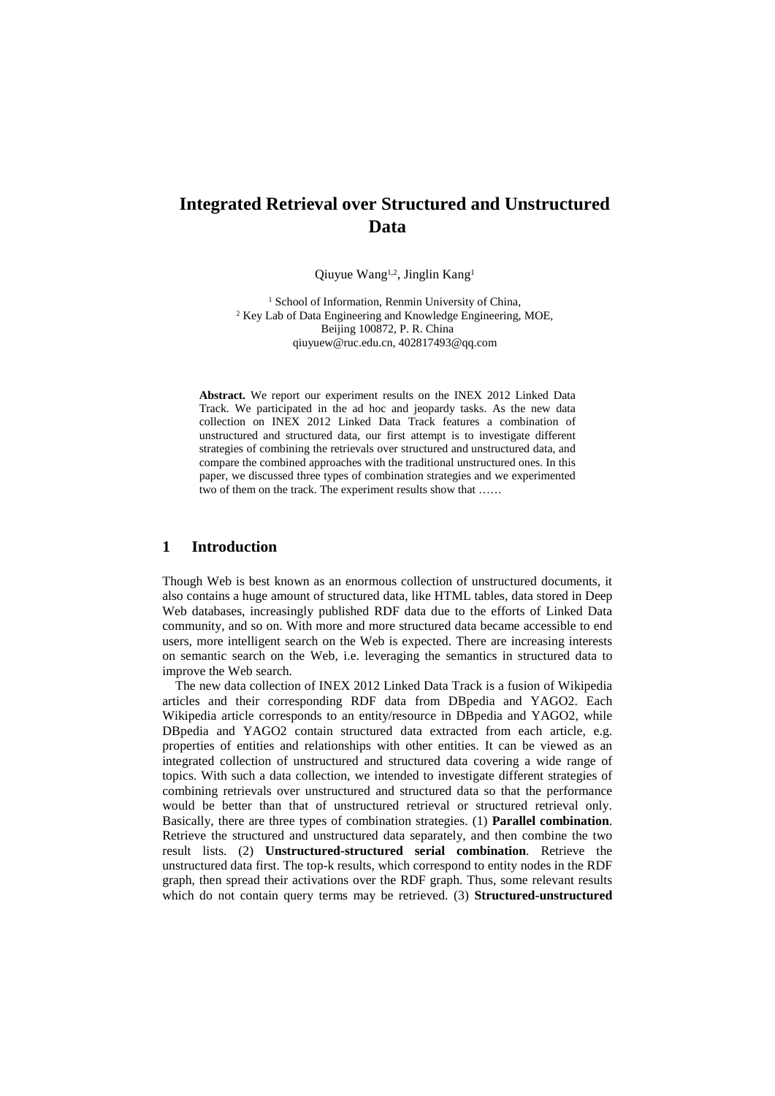# **Integrated Retrieval over Structured and Unstructured Data**

Qiuyue Wang<sup>1,2</sup>, Jinglin Kang<sup>1</sup>

<sup>1</sup> School of Information, Renmin University of China, <sup>2</sup> Key Lab of Data Engineering and Knowledge Engineering, MOE, Beijing 100872, P. R. China qiuyuew@ruc.edu.cn, 402817493@qq.com

**Abstract.** We report our experiment results on the INEX 2012 Linked Data Track. We participated in the ad hoc and jeopardy tasks. As the new data collection on INEX 2012 Linked Data Track features a combination of unstructured and structured data, our first attempt is to investigate different strategies of combining the retrievals over structured and unstructured data, and compare the combined approaches with the traditional unstructured ones. In this paper, we discussed three types of combination strategies and we experimented two of them on the track. The experiment results show that ……

## **1 Introduction**

Though Web is best known as an enormous collection of unstructured documents, it also contains a huge amount of structured data, like HTML tables, data stored in Deep Web databases, increasingly published RDF data due to the efforts of Linked Data community, and so on. With more and more structured data became accessible to end users, more intelligent search on the Web is expected. There are increasing interests on semantic search on the Web, i.e. leveraging the semantics in structured data to improve the Web search.

The new data collection of INEX 2012 Linked Data Track is a fusion of Wikipedia articles and their corresponding RDF data from DBpedia and YAGO2. Each Wikipedia article corresponds to an entity/resource in DBpedia and YAGO2, while DBpedia and YAGO2 contain structured data extracted from each article, e.g. properties of entities and relationships with other entities. It can be viewed as an integrated collection of unstructured and structured data covering a wide range of topics. With such a data collection, we intended to investigate different strategies of combining retrievals over unstructured and structured data so that the performance would be better than that of unstructured retrieval or structured retrieval only. Basically, there are three types of combination strategies. (1) **Parallel combination**. Retrieve the structured and unstructured data separately, and then combine the two result lists. (2) **Unstructured-structured serial combination**. Retrieve the unstructured data first. The top-k results, which correspond to entity nodes in the RDF graph, then spread their activations over the RDF graph. Thus, some relevant results which do not contain query terms may be retrieved. (3) **Structured-unstructured**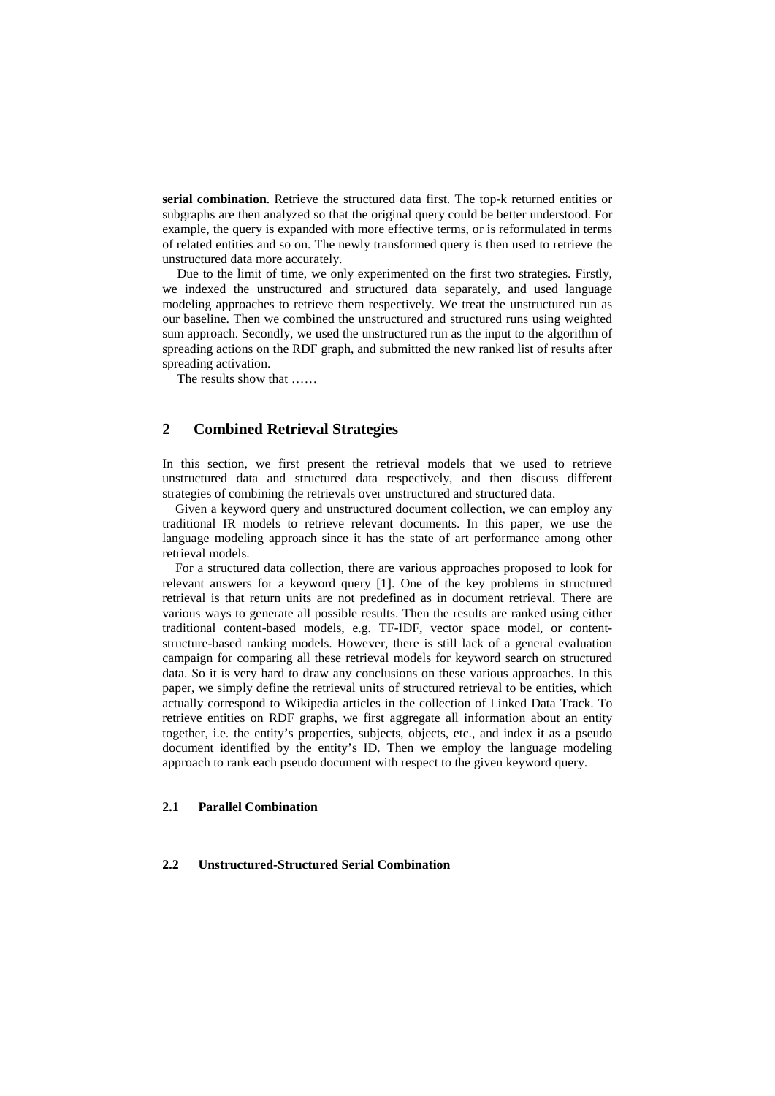**serial combination**. Retrieve the structured data first. The top-k returned entities or subgraphs are then analyzed so that the original query could be better understood. For example, the query is expanded with more effective terms, or is reformulated in terms of related entities and so on. The newly transformed query is then used to retrieve the unstructured data more accurately.

Due to the limit of time, we only experimented on the first two strategies. Firstly, we indexed the unstructured and structured data separately, and used language modeling approaches to retrieve them respectively. We treat the unstructured run as our baseline. Then we combined the unstructured and structured runs using weighted sum approach. Secondly, we used the unstructured run as the input to the algorithm of spreading actions on the RDF graph, and submitted the new ranked list of results after spreading activation.

The results show that ……

## **2 Combined Retrieval Strategies**

In this section, we first present the retrieval models that we used to retrieve unstructured data and structured data respectively, and then discuss different strategies of combining the retrievals over unstructured and structured data.

Given a keyword query and unstructured document collection, we can employ any traditional IR models to retrieve relevant documents. In this paper, we use the language modeling approach since it has the state of art performance among other retrieval models.

For a structured data collection, there are various approaches proposed to look for relevant answers for a keyword query [1]. One of the key problems in structured retrieval is that return units are not predefined as in document retrieval. There are various ways to generate all possible results. Then the results are ranked using either traditional content-based models, e.g. TF-IDF, vector space model, or contentstructure-based ranking models. However, there is still lack of a general evaluation campaign for comparing all these retrieval models for keyword search on structured data. So it is very hard to draw any conclusions on these various approaches. In this paper, we simply define the retrieval units of structured retrieval to be entities, which actually correspond to Wikipedia articles in the collection of Linked Data Track. To retrieve entities on RDF graphs, we first aggregate all information about an entity together, i.e. the entity's properties, subjects, objects, etc., and index it as a pseudo document identified by the entity's ID. Then we employ the language modeling approach to rank each pseudo document with respect to the given keyword query.

#### **2.1 Parallel Combination**

#### **2.2 Unstructured-Structured Serial Combination**